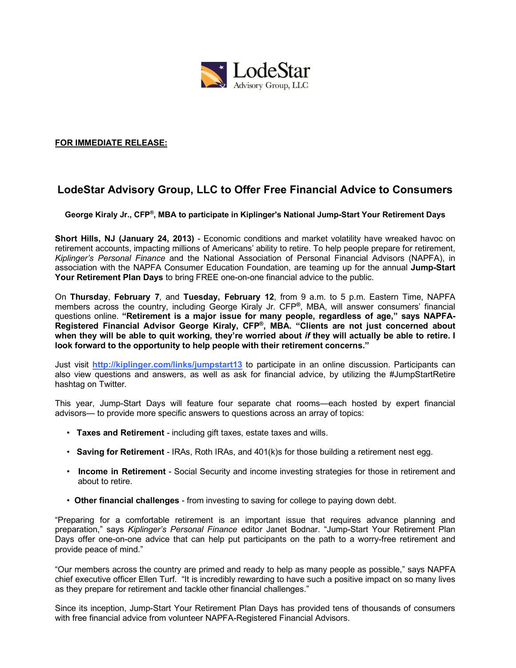

### **FOR IMMEDIATE RELEASE:**

# **LodeStar Advisory Group, LLC to Offer Free Financial Advice to Consumers**

**George Kiraly Jr., CFP®, MBA to participate in Kiplinger's National Jump-Start Your Retirement Days**

**Short Hills, NJ (January 24, 2013)** - Economic conditions and market volatility have wreaked havoc on retirement accounts, impacting millions of Americans' ability to retire. To help people prepare for retirement, *Kiplinger's Personal Finance* and the National Association of Personal Financial Advisors (NAPFA), in association with the NAPFA Consumer Education Foundation, are teaming up for the annual **Jump-Start Your Retirement Plan Days** to bring FREE one-on-one financial advice to the public.

On **Thursday**, **February 7**, and **Tuesday, February 12**, from 9 a.m. to 5 p.m. Eastern Time, NAPFA members across the country, including George Kiraly Jr. CFP**®**, MBA, will answer consumers' financial questions online. **"Retirement is a major issue for many people, regardless of age," says NAPFA-Registered Financial Advisor George Kiraly, CFP®, MBA. "Clients are not just concerned about when they will be able to quit working, they're worried about** *if* **they will actually be able to retire. I look forward to the opportunity to help people with their retirement concerns."**

Just visit **http://kiplinger.com/links/jumpstart13** to participate in an online discussion. Participants can also view questions and answers, as well as ask for financial advice, by utilizing the #JumpStartRetire hashtag on Twitter.

This year, Jump-Start Days will feature four separate chat rooms—each hosted by expert financial advisors— to provide more specific answers to questions across an array of topics:

- **Taxes and Retirement** including gift taxes, estate taxes and wills.
- **Saving for Retirement** IRAs, Roth IRAs, and 401(k)s for those building a retirement nest egg.
- **Income in Retirement** Social Security and income investing strategies for those in retirement and about to retire.
- **Other financial challenges** from investing to saving for college to paying down debt.

"Preparing for a comfortable retirement is an important issue that requires advance planning and preparation," says *Kiplinger's Personal Finance* editor Janet Bodnar. "Jump-Start Your Retirement Plan Days offer one-on-one advice that can help put participants on the path to a worry-free retirement and provide peace of mind."

"Our members across the country are primed and ready to help as many people as possible," says NAPFA chief executive officer Ellen Turf. "It is incredibly rewarding to have such a positive impact on so many lives as they prepare for retirement and tackle other financial challenges."

Since its inception, Jump-Start Your Retirement Plan Days has provided tens of thousands of consumers with free financial advice from volunteer NAPFA-Registered Financial Advisors.